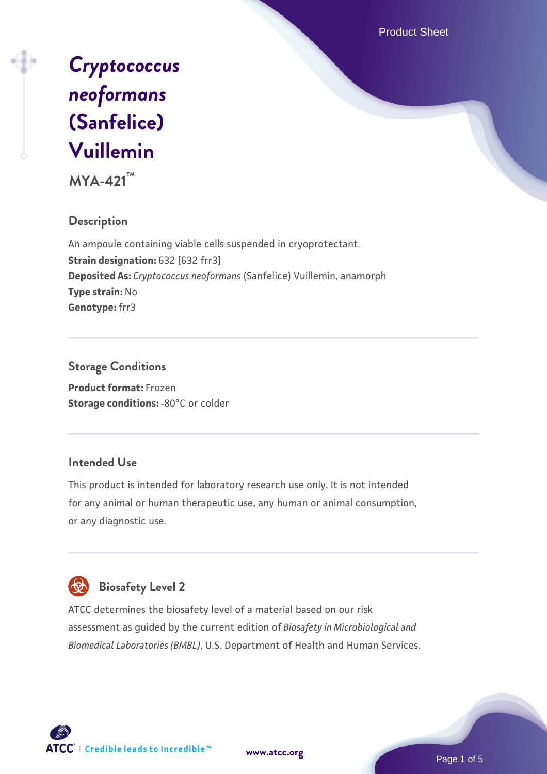Product Sheet



**MYA-421™**

### **Description**

An ampoule containing viable cells suspended in cryoprotectant. **Strain designation: 632 [632 frr3] Deposited As:** *Cryptococcus neoformans* (Sanfelice) Vuillemin, anamorph **Type strain:** No **Genotype:** frr3

### **Storage Conditions**

**Product format:** Frozen **Storage conditions: -80°C or colder** 

### **Intended Use**

This product is intended for laboratory research use only. It is not intended for any animal or human therapeutic use, any human or animal consumption, or any diagnostic use.



# **Biosafety Level 2**

ATCC determines the biosafety level of a material based on our risk assessment as guided by the current edition of *Biosafety in Microbiological and Biomedical Laboratories (BMBL)*, U.S. Department of Health and Human Services.

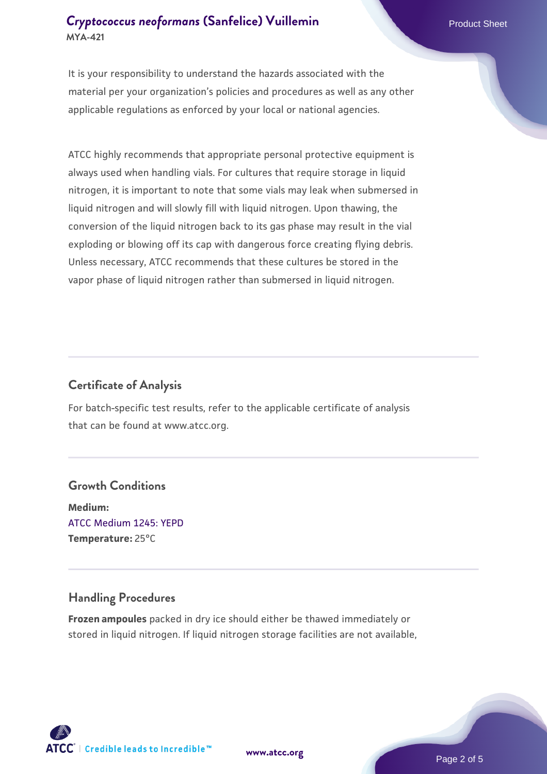### **[Cryptococcus neoformans](https://www.atcc.org/products/mya-421) [\(Sanfelice\) Vuillemin](https://www.atcc.org/products/mya-421)** Product Sheet **MYA-421**

It is your responsibility to understand the hazards associated with the material per your organization's policies and procedures as well as any other applicable regulations as enforced by your local or national agencies.

ATCC highly recommends that appropriate personal protective equipment is always used when handling vials. For cultures that require storage in liquid nitrogen, it is important to note that some vials may leak when submersed in liquid nitrogen and will slowly fill with liquid nitrogen. Upon thawing, the conversion of the liquid nitrogen back to its gas phase may result in the vial exploding or blowing off its cap with dangerous force creating flying debris. Unless necessary, ATCC recommends that these cultures be stored in the vapor phase of liquid nitrogen rather than submersed in liquid nitrogen.

### **Certificate of Analysis**

For batch-specific test results, refer to the applicable certificate of analysis that can be found at www.atcc.org.

### **Growth Conditions**

**Medium:**  [ATCC Medium 1245: YEPD](https://www.atcc.org/-/media/product-assets/documents/microbial-media-formulations/1/2/4/5/atcc-medium-1245.pdf?rev=705ca55d1b6f490a808a965d5c072196) **Temperature:** 25°C

### **Handling Procedures**

**Frozen ampoules** packed in dry ice should either be thawed immediately or stored in liquid nitrogen. If liquid nitrogen storage facilities are not available,

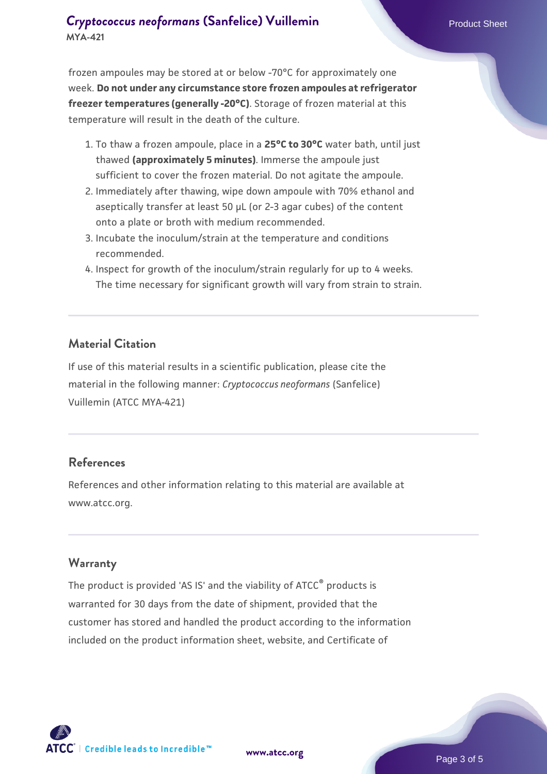### **[Cryptococcus neoformans](https://www.atcc.org/products/mya-421) [\(Sanfelice\) Vuillemin](https://www.atcc.org/products/mya-421)** Product Sheet **MYA-421**

frozen ampoules may be stored at or below -70°C for approximately one week. **Do not under any circumstance store frozen ampoules at refrigerator freezer temperatures (generally -20°C)**. Storage of frozen material at this temperature will result in the death of the culture.

- 1. To thaw a frozen ampoule, place in a **25°C to 30°C** water bath, until just thawed **(approximately 5 minutes)**. Immerse the ampoule just sufficient to cover the frozen material. Do not agitate the ampoule.
- 2. Immediately after thawing, wipe down ampoule with 70% ethanol and aseptically transfer at least 50 µL (or 2-3 agar cubes) of the content onto a plate or broth with medium recommended.
- 3. Incubate the inoculum/strain at the temperature and conditions recommended.
- 4. Inspect for growth of the inoculum/strain regularly for up to 4 weeks. The time necessary for significant growth will vary from strain to strain.

#### **Material Citation**

If use of this material results in a scientific publication, please cite the material in the following manner: *Cryptococcus neoformans* (Sanfelice) Vuillemin (ATCC MYA-421)

### **References**

References and other information relating to this material are available at www.atcc.org.

### **Warranty**

The product is provided 'AS IS' and the viability of ATCC<sup>®</sup> products is warranted for 30 days from the date of shipment, provided that the customer has stored and handled the product according to the information included on the product information sheet, website, and Certificate of



**[www.atcc.org](http://www.atcc.org)**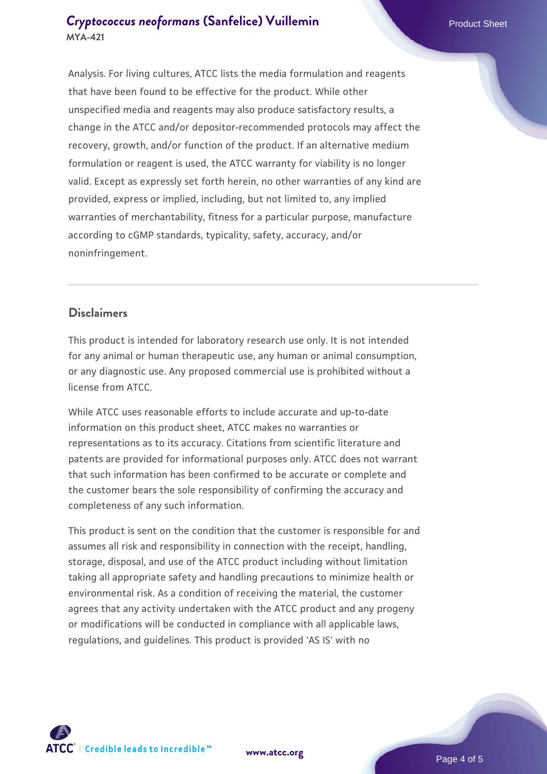### **[Cryptococcus neoformans](https://www.atcc.org/products/mya-421) [\(Sanfelice\) Vuillemin](https://www.atcc.org/products/mya-421)** Product Sheet **MYA-421**

Analysis. For living cultures, ATCC lists the media formulation and reagents that have been found to be effective for the product. While other unspecified media and reagents may also produce satisfactory results, a change in the ATCC and/or depositor-recommended protocols may affect the recovery, growth, and/or function of the product. If an alternative medium formulation or reagent is used, the ATCC warranty for viability is no longer valid. Except as expressly set forth herein, no other warranties of any kind are provided, express or implied, including, but not limited to, any implied warranties of merchantability, fitness for a particular purpose, manufacture according to cGMP standards, typicality, safety, accuracy, and/or noninfringement.

### **Disclaimers**

This product is intended for laboratory research use only. It is not intended for any animal or human therapeutic use, any human or animal consumption, or any diagnostic use. Any proposed commercial use is prohibited without a license from ATCC.

While ATCC uses reasonable efforts to include accurate and up-to-date information on this product sheet, ATCC makes no warranties or representations as to its accuracy. Citations from scientific literature and patents are provided for informational purposes only. ATCC does not warrant that such information has been confirmed to be accurate or complete and the customer bears the sole responsibility of confirming the accuracy and completeness of any such information.

This product is sent on the condition that the customer is responsible for and assumes all risk and responsibility in connection with the receipt, handling, storage, disposal, and use of the ATCC product including without limitation taking all appropriate safety and handling precautions to minimize health or environmental risk. As a condition of receiving the material, the customer agrees that any activity undertaken with the ATCC product and any progeny or modifications will be conducted in compliance with all applicable laws, regulations, and guidelines. This product is provided 'AS IS' with no



**[www.atcc.org](http://www.atcc.org)**

Page 4 of 5